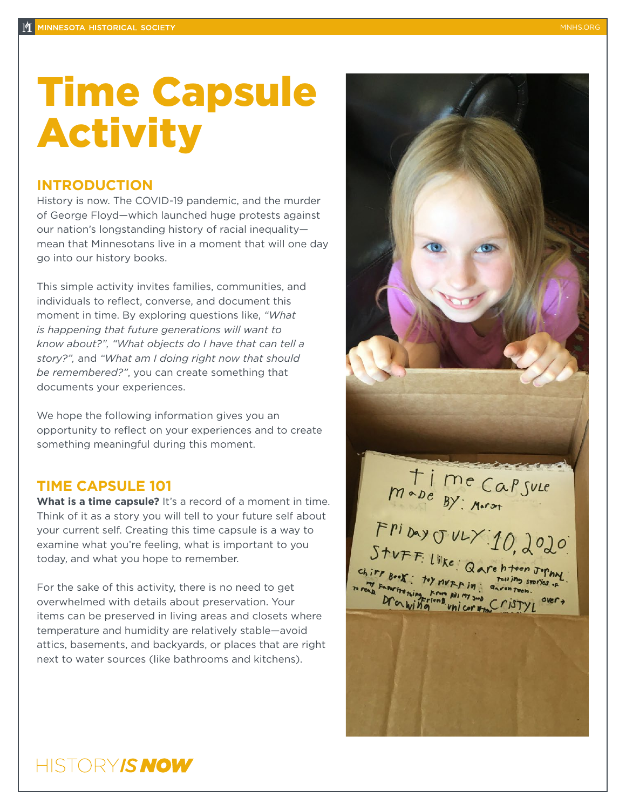# Time Capsule Activity

#### **INTRODUCTION**

History is now. The COVID-19 pandemic, and the murder of George Floyd—which launched huge protests against our nation's longstanding history of racial inequality mean that Minnesotans live in a moment that will one day go into our history books.

This simple activity invites families, communities, and individuals to reflect, converse, and document this moment in time. By exploring questions like, *"What is happening that future generations will want to know about?", "What objects do I have that can tell a story?",* and *"What am I doing right now that should be remembered?"*, you can create something that documents your experiences.

We hope the following information gives you an opportunity to reflect on your experiences and to create something meaningful during this moment.

### **TIME CAPSULE 101**

**What is a time capsule?** It's a record of a moment in time. Think of it as a story you will tell to your future self about your current self. Creating this time capsule is a way to examine what you're feeling, what is important to you today, and what you hope to remember.

For the sake of this activity, there is no need to get overwhelmed with details about preservation. Your items can be preserved in living areas and closets where temperature and humidity are relatively stable—avoid attics, basements, and backyards, or places that are right next to water sources (like bathrooms and kitchens).



## HISTORY*IS NOW*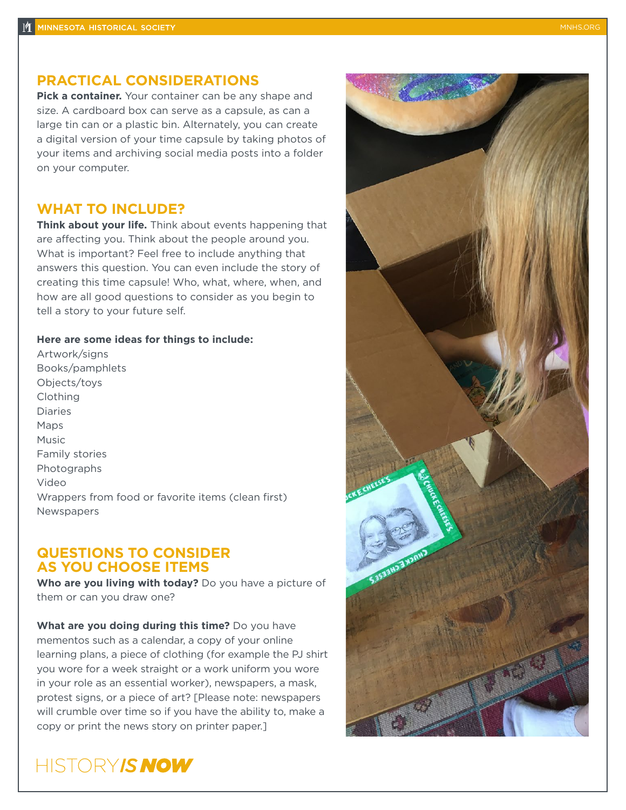#### **PRACTICAL CONSIDERATIONS**

**Pick a container.** Your container can be any shape and size. A cardboard box can serve as a capsule, as can a large tin can or a plastic bin. Alternately, you can create a digital version of your time capsule by taking photos of your items and archiving social media posts into a folder on your computer.

#### **WHAT TO INCLUDE?**

**Think about your life.** Think about events happening that are affecting you. Think about the people around you. What is important? Feel free to include anything that answers this question. You can even include the story of creating this time capsule! Who, what, where, when, and how are all good questions to consider as you begin to tell a story to your future self.

#### **Here are some ideas for things to include:**

Artwork/signs Books/pamphlets Objects/toys Clothing Diaries Maps Music Family stories **Photographs** Video Wrappers from food or favorite items (clean first) Newspapers

#### **QUESTIONS TO CONSIDER AS YOU CHOOSE ITEMS**

**Who are you living with today?** Do you have a picture of them or can you draw one?

**What are you doing during this time?** Do you have mementos such as a calendar, a copy of your online learning plans, a piece of clothing (for example the PJ shirt you wore for a week straight or a work uniform you wore in your role as an essential worker), newspapers, a mask, protest signs, or a piece of art? [Please note: newspapers will crumble over time so if you have the ability to, make a copy or print the news story on printer paper.]

## HISTORY IS NOW

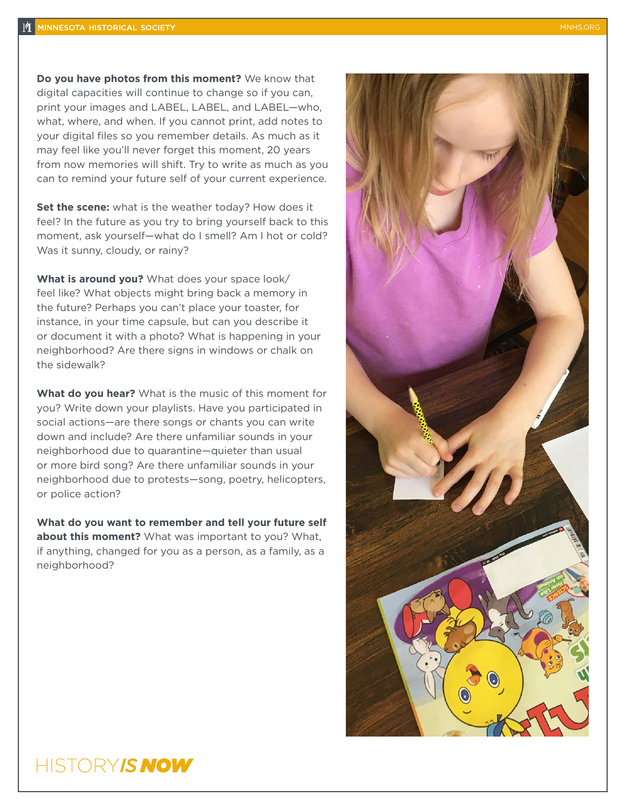**Do you have photos from this moment?** We know that digital capacities will continue to change so if you can, print your images and LABEL, LABEL, and LABEL—who, what, where, and when. If you cannot print, add notes to your digital files so you remember details. As much as it may feel like you'll never forget this moment, 20 years from now memories will shift. Try to write as much as you can to remind your future self of your current experience.

**Set the scene:** what is the weather today? How does it feel? In the future as you try to bring yourself back to this moment, ask yourself—what do I smell? Am I hot or cold? Was it sunny, cloudy, or rainy?

**What is around you?** What does your space look/ feel like? What objects might bring back a memory in the future? Perhaps you can't place your toaster, for instance, in your time capsule, but can you describe it or document it with a photo? What is happening in your neighborhood? Are there signs in windows or chalk on the sidewalk?

**What do you hear?** What is the music of this moment for you? Write down your playlists. Have you participated in social actions—are there songs or chants you can write down and include? Are there unfamiliar sounds in your neighborhood due to quarantine—quieter than usual or more bird song? Are there unfamiliar sounds in your neighborhood due to protests—song, poetry, helicopters, or police action?

**What do you want to remember and tell your future self about this moment?** What was important to you? What, if anything, changed for you as a person, as a family, as a neighborhood?



## HISTORY*IS NOW*